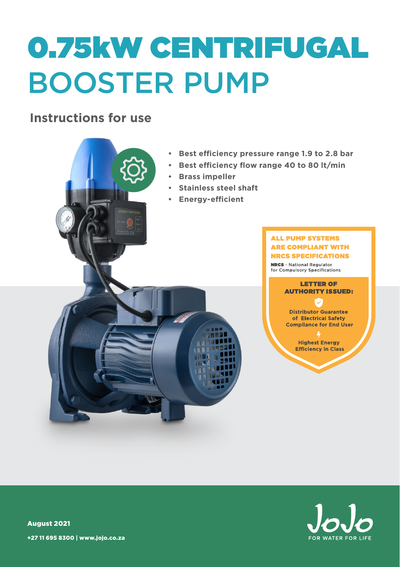# 0.75kW CENTRIFUGAL BOOSTER PUMP

### **Instructions for use**

- **• Best efficiency pressure range 1.9 to 2.8 bar**
- **• Best efficiency flow range 40 to 80 lt/min**
- **• Brass impeller**
- **• Stainless steel shaft**
- **• Energy-efficient**

#### **ALL PUMP SYSTEMS ARE COMPLIANT WITH NRCS SPECIFICATIONS**

**NRCS** - National Regulator for Compulsory Specifications



**Distributor Guarantee** of Electrical Safety **Compliance for End User** 

> **Highest Energy Efficiency in Class**



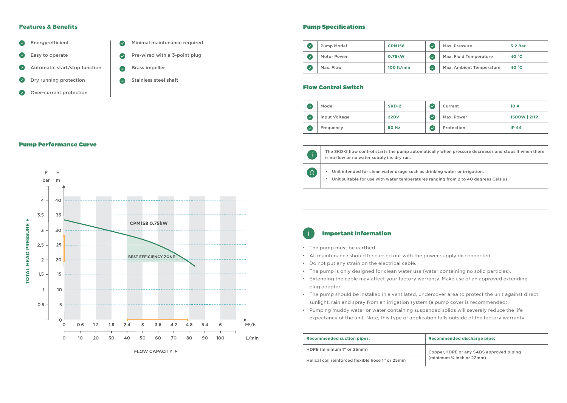#### Features & Benefits



- $\bullet$ Dry running protection
- Over-current protection
- Minimal maintenance required Pre-wired with a 3-point plug Brass impeller Stainless steel shaft  $\bullet$

#### Pump Specifications

| Pump Model  | <b>CPM158</b> | Max. Pressure            | 3.2 Bar |
|-------------|---------------|--------------------------|---------|
| Motor Power | 0.75kW        | Max. Fluid Temperature   | 40 °C   |
| Max. Flow   | 100 $lt/min$  | Max. Ambient Temperature | 40 °C   |

#### Flow Control Switch

| Model         | SKD-2        |   | Current    | 10 A        |
|---------------|--------------|---|------------|-------------|
| Input Voltage | <b>220V</b>  | ✓ | Max. Power | 1500W   2HP |
| Frequency     | <b>50 Hz</b> |   | Protection | IP $44$     |



 $\overline{\circ}$ 

The SKD-2 flow control starts the pump automatically when pressure decreases and stops it when there is no flow or no water supply i.e. dry run.

• Unit intended for clean water usage such as drinking water or irrigation.

• Unit suitable for use with water temperatures ranging from 2 to 40 degrees Celsius.

#### Important Information

- The pump must be earthed.
- All maintenance should be carried out with the power supply disconnected.
- Do not put any strain on the electrical cable.
- The pump is only designed for clean water use (water containing no solid particles).
- Extending the cable may affect your factory warranty. Make use of an approved extending plug adapter.
- The pump should be installed in a ventilated, undercover area to protect the unit against direct sunlight, rain and spray from an irrigation system (a pump cover is recommended).
- Pumping muddy water or water containing suspended solids will severely reduce the life expectancy of the unit. Note, this type of application falls outside of the factory warranty.

| <b>Recommended suction pipes:</b>                | <b>Recommended discharge pipe:</b>       |  |
|--------------------------------------------------|------------------------------------------|--|
| HDPE (minimum 1" or 25mm)                        | Copper, HDPE or any SABS approved piping |  |
| Helical coil reinforced flexible hose 1" or 25mm | (minimum $\frac{3}{4}$ inch or 22mm)     |  |

#### Pump Performance Curve

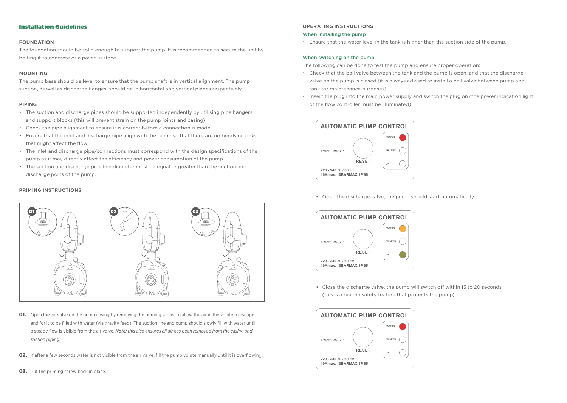#### Installation Guidelines

#### **FOUNDATION**

The foundation should be solid enough to support the pump. It is recommended to secure the unit by bolting it to concrete or a paved surface.

#### **MOUNTING**

The pump base should be level to ensure that the pump shaft is in vertical alignment. The pump suction, as well as discharge flanges, should be in horizontal and vertical planes respectively.

#### **PIPING**

- The suction and discharge pipes should be supported independently by utilising pipe hangers and support blocks (this will prevent strain on the pump joints and casing).
- Check the pipe alignment to ensure it is correct before a connection is made.
- Ensure that the inlet and discharge pipe align with the pump so that there are no bends or kinks that might affect the flow.
- The inlet and discharge pipe/connections must correspond with the design specifications of the pump as it may directly affect the efficiency and power consumption of the pump.
- The suction and discharge pipe line diameter must be equal or greater than the suction and discharge ports of the pump.

#### **PRIMING INSTRUCTIONS**



- **01.** Open the air valve on the pump casing by removing the priming screw, to allow the air in the volute to escape and for it to be filled with water (via gravity feed). The suction line and pump should slowly fill with water until a steady flow is visible from the air valve. *Note: this also ensures all air has been removed from the casing and suction piping.*
- 02. If after a few seconds water is not visible from the air valve, fill the pump volute manually until it is overflowing.
- 03. Put the priming screw back in place.

#### **OPERATING INSTRUCTIONS**

#### When installing the pump

• Ensure that the water level in the tank is higher than the suction side of the pump.

#### When switching on the pump

The following can be done to test the pump and ensure proper operation:

- Check that the ball valve between the tank and the pump is open, and that the discharge valve on the pump is closed (it is always advised to install a ball valve between pump and tank for maintenance purposes).
- Insert the plug into the main power supply and switch the plug on (the power indication light of the flow controller must be illuminated).



• Open the discharge valve, the pump should start automatically.



• Close the discharge valve, the pump will switch off within 15 to 20 seconds (this is a built-in safety feature that protects the pump).

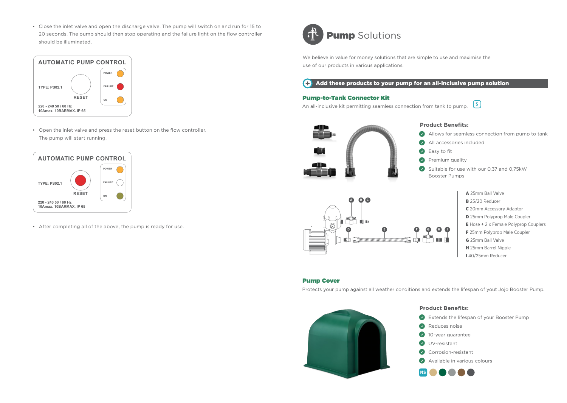• Close the inlet valve and open the discharge valve. The pump will switch on and run for 15 to 20 seconds. The pump should then stop operating and the failure light on the flow controller should be illuminated.



• Open the inlet valve and press the reset button on the flow controller. The pump will start running.



• After completing all of the above, the pump is ready for use.



## **Pump** Solutions

We believe in value for money solutions that are simple to use and maximise the use of our products in various applications.

#### $\bigodot$  Add these products to your pump for an all-inclusive pump solution

#### Pump-to-Tank Connector Kit

**S** An all-inclusive kit permitting seamless connection from tank to pump.



#### **Product Benefits:**

- Allows for seamless connection from pump to tank  $\bullet$
- All accessories included
- Ø Easy to fit
- Premium quality
- $\bullet$ Suitable for use with our 0.37 and 0,75kW Booster Pumps



A 25mm Ball Valve **B** 25/20 Reducer C 20mm Accessory Adaptor D 25mm Polyprop Male Coupler E Hose + 2 x Female Polyprop Couplers F 25mm Polyprop Male Coupler G 25mm Ball Valve H 25mm Barrel Nipple I 40/25mm Reducer

#### Pump Cover

Protects your pump against all weather conditions and extends the lifespan of yout Jojo Booster Pump.



#### **Product Benefits:**

- Extends the lifespan of your Booster Pump
- $\bullet$ Reduces noise
- $\bullet$ 10-year guarantee
- Ø UV-resistant
- Ø Corrosion-resistant
- ω Available in various colours